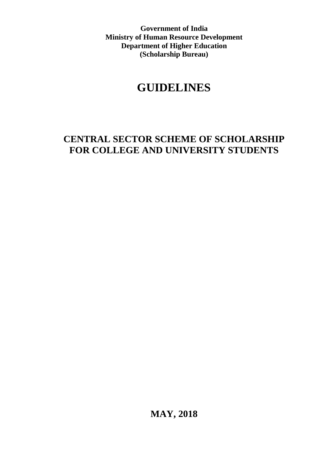**Government of India Ministry of Human Resource Development Department of Higher Education (Scholarship Bureau)**

# **GUIDELINES**

# **CENTRAL SECTOR SCHEME OF SCHOLARSHIP FOR COLLEGE AND UNIVERSITY STUDENTS**

**MAY, 2018**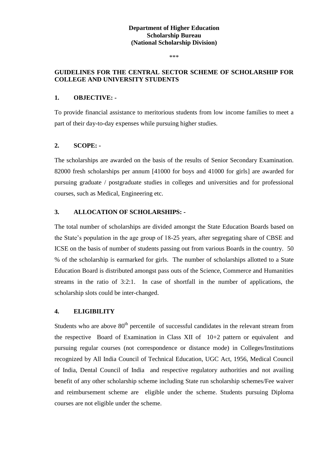# **Department of Higher Education Scholarship Bureau (National Scholarship Division)**

\*\*\*

# **GUIDELINES FOR THE CENTRAL SECTOR SCHEME OF SCHOLARSHIP FOR COLLEGE AND UNIVERSITY STUDENTS**

#### **1. OBJECTIVE: -**

To provide financial assistance to meritorious students from low income families to meet a part of their day-to-day expenses while pursuing higher studies.

#### **2. SCOPE: -**

The scholarships are awarded on the basis of the results of Senior Secondary Examination. 82000 fresh scholarships per annum [41000 for boys and 41000 for girls] are awarded for pursuing graduate / postgraduate studies in colleges and universities and for professional courses, such as Medical, Engineering etc.

#### **3. ALLOCATION OF SCHOLARSHIPS: -**

The total number of scholarships are divided amongst the State Education Boards based on the State's population in the age group of 18-25 years, after segregating share of CBSE and ICSE on the basis of number of students passing out from various Boards in the country. 50 % of the scholarship is earmarked for girls. The number of scholarships allotted to a State Education Board is distributed amongst pass outs of the Science, Commerce and Humanities streams in the ratio of 3:2:1. In case of shortfall in the number of applications, the scholarship slots could be inter-changed.

#### **4. ELIGIBILITY**

Students who are above  $80<sup>th</sup>$  percentile of successful candidates in the relevant stream from the respective Board of Examination in Class XII of 10+2 pattern or equivalent and pursuing regular courses (not correspondence or distance mode) in Colleges/Institutions recognized by All India Council of Technical Education, UGC Act, 1956, Medical Council of India, Dental Council of India and respective regulatory authorities and not availing benefit of any other scholarship scheme including State run scholarship schemes/Fee waiver and reimbursement scheme are eligible under the scheme. Students pursuing Diploma courses are not eligible under the scheme.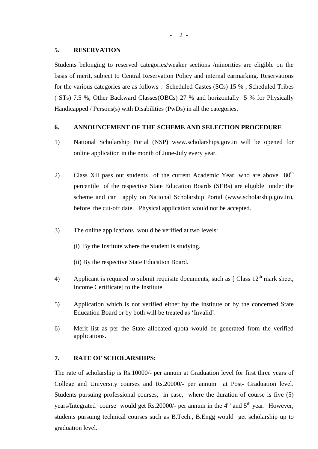#### **5. RESERVATION**

Students belonging to reserved categories/weaker sections /minorities are eligible on the basis of merit, subject to Central Reservation Policy and internal earmarking. Reservations for the various categories are as follows : Scheduled Castes (SCs) 15 % , Scheduled Tribes ( STs) 7.5 %, Other Backward Classes(OBCs) 27 % and horizontally 5 % for Physically Handicapped / Persons(s) with Disabilities (PwDs) in all the categories.

# **6. ANNOUNCEMENT OF THE SCHEME AND SELECTION PROCEDURE**

- 1) National Scholarship Portal (NSP) [www.scholarships.gov.in](http://www.scholarships.gov.in/) will be opened for online application in the month of June-July every year.
- 2) Class XII pass out students of the current Academic Year, who are above  $80<sup>th</sup>$ percentile of the respective State Education Boards (SEBs) are eligible under the scheme and can apply on National Scholarship Portal [\(www.scholarship.gov.in\)](http://www.scholarship.gov.in/), before the cut-off date. Physical application would not be accepted.
- 3) The online applications would be verified at two levels:
	- (i) By the Institute where the student is studying.
	- (ii) By the respective State Education Board.
- 4) Applicant is required to submit requisite documents, such as  $\lceil$  Class  $12<sup>th</sup>$  mark sheet, Income Certificate] to the Institute.
- 5) Application which is not verified either by the institute or by the concerned State Education Board or by both will be treated as "Invalid".
- 6) Merit list as per the State allocated quota would be generated from the verified applications.

#### **7. RATE OF SCHOLARSHIPS:**

The rate of scholarship is Rs.10000/- per annum at Graduation level for first three years of College and University courses and Rs.20000/- per annum at Post- Graduation level. Students pursuing professional courses, in case, where the duration of course is five (5) years/Integrated course would get Rs.20000/- per annum in the  $4<sup>th</sup>$  and  $5<sup>th</sup>$  year. However, students pursuing technical courses such as B.Tech., B.Engg would get scholarship up to graduation level.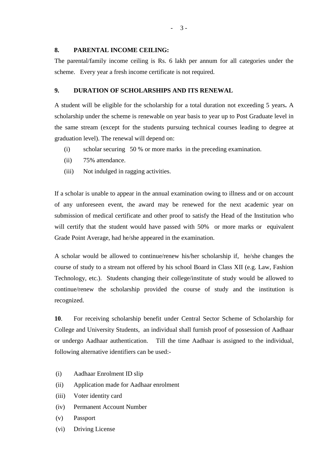#### **8. PARENTAL INCOME CEILING:**

The parental/family income ceiling is Rs. 6 lakh per annum for all categories under the scheme. Every year a fresh income certificate is not required.

### **9. DURATION OF SCHOLARSHIPS AND ITS RENEWAL**

A student will be eligible for the scholarship for a total duration not exceeding 5 years**.** A scholarship under the scheme is renewable on year basis to year up to Post Graduate level in the same stream (except for the students pursuing technical courses leading to degree at graduation level). The renewal will depend on:

- (i) scholar securing 50 % or more marks in the preceding examination.
- (ii) 75% attendance.
- (iii) Not indulged in ragging activities.

If a scholar is unable to appear in the annual examination owing to illness and or on account of any unforeseen event, the award may be renewed for the next academic year on submission of medical certificate and other proof to satisfy the Head of the Institution who will certify that the student would have passed with 50% or more marks or equivalent Grade Point Average, had he/she appeared in the examination.

A scholar would be allowed to continue/renew his/her scholarship if, he/she changes the course of study to a stream not offered by his school Board in Class XII (e.g. Law, Fashion Technology, etc.). Students changing their college/institute of study would be allowed to continue/renew the scholarship provided the course of study and the institution is recognized.

**10**. For receiving scholarship benefit under Central Sector Scheme of Scholarship for College and University Students, an individual shall furnish proof of possession of Aadhaar or undergo Aadhaar authentication. Till the time Aadhaar is assigned to the individual, following alternative identifiers can be used:-

- (i) Aadhaar Enrolment ID slip
- (ii) Application made for Aadhaar enrolment
- (iii) Voter identity card
- (iv) Permanent Account Number
- (v) Passport
- (vi) Driving License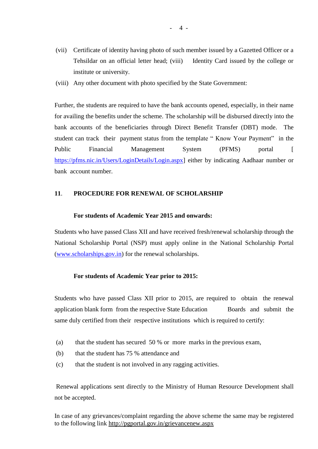- (vii) Certificate of identity having photo of such member issued by a Gazetted Officer or a Tehsildar on an official letter head; (viii) Identity Card issued by the college or institute or university.
- (viii) Any other document with photo specified by the State Government:

Further, the students are required to have the bank accounts opened, especially, in their name for availing the benefits under the scheme. The scholarship will be disbursed directly into the bank accounts of the beneficiaries through Direct Benefit Transfer (DBT) mode. The student can track their payment status from the template " Know Your Payment" in the Public Financial Management System (PFMS) portal [ [https://pfms.nic.in/Users/LoginDetails/Login.aspx\]](https://pfms.nic.in/Users/LoginDetails/Login.aspx) either by indicating Aadhaar number or bank account number.

# **11**. **PROCEDURE FOR RENEWAL OF SCHOLARSHIP**

#### **For students of Academic Year 2015 and onwards:**

Students who have passed Class XII and have received fresh/renewal scholarship through the National Scholarship Portal (NSP) must apply online in the National Scholarship Portal [\(www.scholarships.gov.in\)](http://www.scholarships.gov.in/) for the renewal scholarships.

#### **For students of Academic Year prior to 2015:**

Students who have passed Class XII prior to 2015, are required to obtain the renewal application blank form from the respective State Education Boards and submit the same duly certified from their respective institutions which is required to certify:

- (a) that the student has secured 50 % or more marks in the previous exam,
- (b) that the student has 75 % attendance and
- (c) that the student is not involved in any ragging activities.

Renewal applications sent directly to the Ministry of Human Resource Development shall not be accepted.

In case of any grievances/complaint regarding the above scheme the same may be registered to the following link<http://pgportal.gov.in/grievancenew.aspx>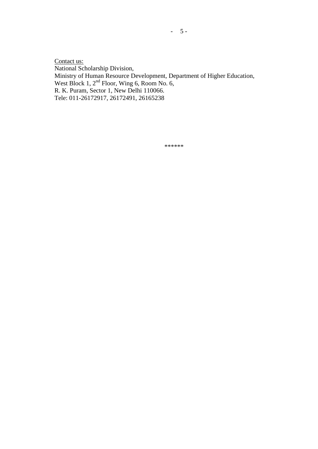Contact us: National Scholarship Division, Ministry of Human Resource Development, Department of Higher Education, West Block 1, 2<sup>nd</sup> Floor, Wing 6, Room No. 6, R. K. Puram, Sector 1, New Delhi 110066. Tele: 011-26172917, 26172491, 26165238

\*\*\*\*\*\*